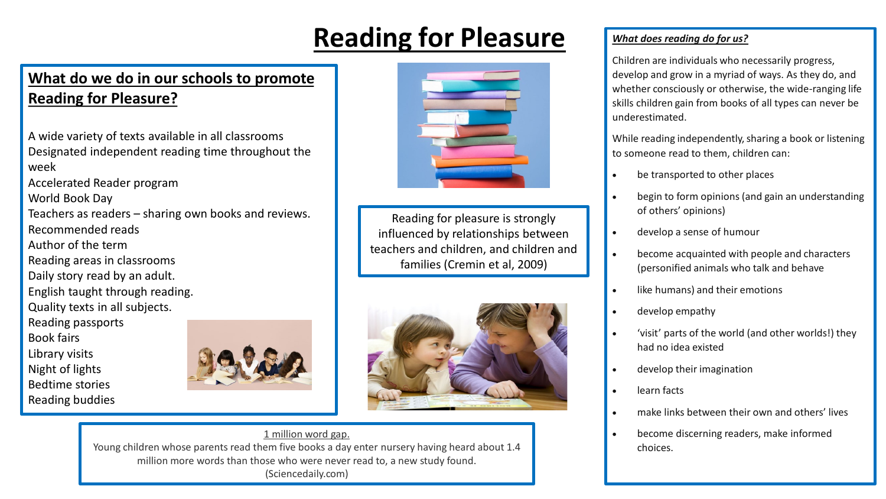# **Reading for Pleasure**

# **What do we do in our schools to promote Reading for Pleasure?**

A wide variety of texts available in all classrooms Designated independent reading time throughout the week

Accelerated Reader program

World Book Day

- Teachers as readers sharing own books and reviews. Recommended reads
- Author of the term
- Reading areas in classrooms
- Daily story read by an adult.
- English taught through reading.
- Quality texts in all subjects.

Reading passports

Book fairs

Library visits

- Night of lights
- Bedtime stories
- Reading buddies





Reading for pleasure is strongly influenced by relationships between teachers and children, and children and families (Cremin et al, 2009)



#### 1 million word gap.

Young children whose parents read them five books a day enter nursery having heard about 1.4 million more words than those who were never read to, a new study found. (Sciencedaily.com)

## *What does reading do for us?*

Children are individuals who necessarily progress, develop and grow in a myriad of ways. As they do, and whether consciously or otherwise, the wide-ranging life skills children gain from books of all types can never be underestimated.

While reading independently, sharing a book or listening to someone read to them, children can:

- be transported to other places
- begin to form opinions (and gain an understanding of others' opinions)
- develop a sense of humour
- become acquainted with people and characters (personified animals who talk and behave
- like humans) and their emotions
- develop empathy
- 'visit' parts of the world (and other worlds!) they had no idea existed
- develop their imagination
- learn facts
- make links between their own and others' lives
- become discerning readers, make informed choices.